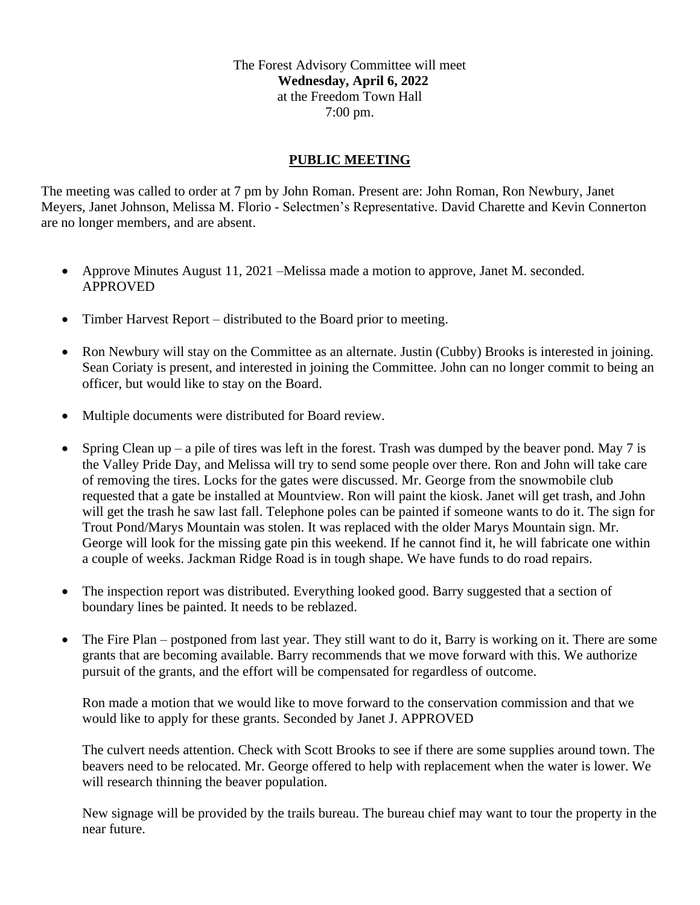The Forest Advisory Committee will meet **Wednesday, April 6, 2022** at the Freedom Town Hall 7:00 pm.

## **PUBLIC MEETING**

The meeting was called to order at 7 pm by John Roman. Present are: John Roman, Ron Newbury, Janet Meyers, Janet Johnson, Melissa M. Florio - Selectmen's Representative. David Charette and Kevin Connerton are no longer members, and are absent.

- Approve Minutes August 11, 2021 Melissa made a motion to approve, Janet M. seconded. APPROVED
- Timber Harvest Report distributed to the Board prior to meeting.
- Ron Newbury will stay on the Committee as an alternate. Justin (Cubby) Brooks is interested in joining. Sean Coriaty is present, and interested in joining the Committee. John can no longer commit to being an officer, but would like to stay on the Board.
- Multiple documents were distributed for Board review.
- Spring Clean up a pile of tires was left in the forest. Trash was dumped by the beaver pond. May 7 is the Valley Pride Day, and Melissa will try to send some people over there. Ron and John will take care of removing the tires. Locks for the gates were discussed. Mr. George from the snowmobile club requested that a gate be installed at Mountview. Ron will paint the kiosk. Janet will get trash, and John will get the trash he saw last fall. Telephone poles can be painted if someone wants to do it. The sign for Trout Pond/Marys Mountain was stolen. It was replaced with the older Marys Mountain sign. Mr. George will look for the missing gate pin this weekend. If he cannot find it, he will fabricate one within a couple of weeks. Jackman Ridge Road is in tough shape. We have funds to do road repairs.
- The inspection report was distributed. Everything looked good. Barry suggested that a section of boundary lines be painted. It needs to be reblazed.
- The Fire Plan postponed from last year. They still want to do it, Barry is working on it. There are some grants that are becoming available. Barry recommends that we move forward with this. We authorize pursuit of the grants, and the effort will be compensated for regardless of outcome.

Ron made a motion that we would like to move forward to the conservation commission and that we would like to apply for these grants. Seconded by Janet J. APPROVED

The culvert needs attention. Check with Scott Brooks to see if there are some supplies around town. The beavers need to be relocated. Mr. George offered to help with replacement when the water is lower. We will research thinning the beaver population.

New signage will be provided by the trails bureau. The bureau chief may want to tour the property in the near future.